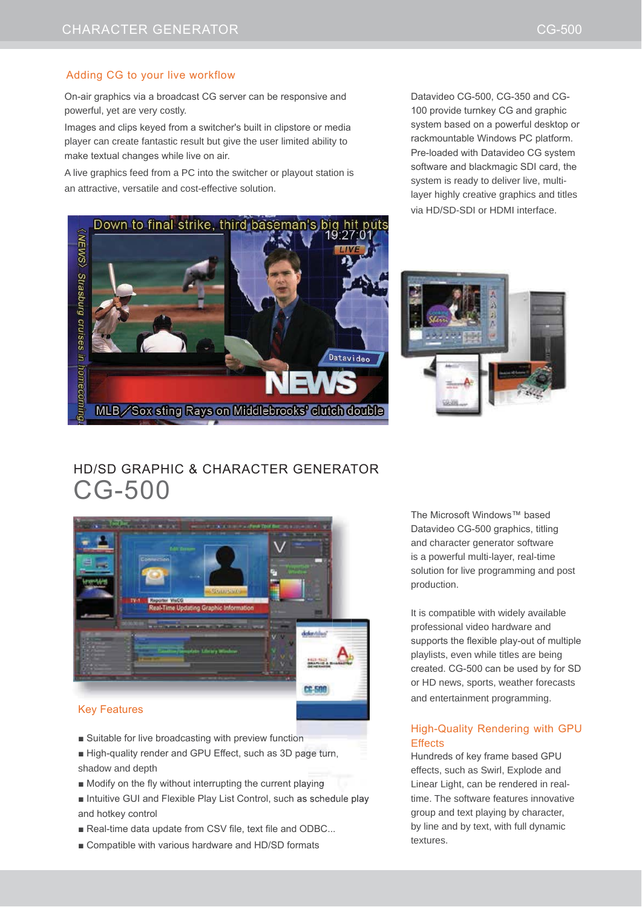### Adding CG to your live workflow

On-air graphics via a broadcast CG server can be responsive and powerful, yet are very costly.

Images and clips keyed from a switcher's built in clipstore or media player can create fantastic result but give the user limited ability to make textual changes while live on air.

A live graphics feed from a PC into the switcher or playout station is an attractive, versatile and cost-effective solution.





Datavideo CG-500, CG-350 and CG-100 provide turnkey CG and graphic system based on a powerful desktop or rackmountable Windows PC platform. Pre-loaded with Datavideo CG system software and blackmagic SDI card, the system is ready to deliver live, multi-





# HD/SD GRAPHIC & CHARACTER GENERATOR CG-500



- $\blacksquare$  Suitable for live broadcasting with preview function
- High-quality render and GPU Effect, such as 3D page turn, shadow and depth
- $\blacksquare$  Modify on the fly without interrupting the current playing
- Intuitive GUI and Flexible Play List Control, such as schedule play and hotkey control
- Real-time data update from CSV file, text file and ODBC...
- Compatible with various hardware and HD/SD formats

The Microsoft Windows™ based Datavideo CG-500 graphics, titling and character generator software is a powerful multi-layer, real-time solution for live programming and post production.

It is compatible with widely available professional video hardware and supports the flexible play-out of multiple playlists, even while titles are being  $c$ reated.  $CG-500$  can be used by for  $SD$ or HD news, sports, weather forecasts and entertainment programming.

### High-Quality Rendering with GPU **Effects**

Hundreds of key frame based GPU effects, such as Swirl, Explode and Linear Light, can be rendered in realtime. The software features innovative group and text playing by character, by line and by text, with full dynamic textures.